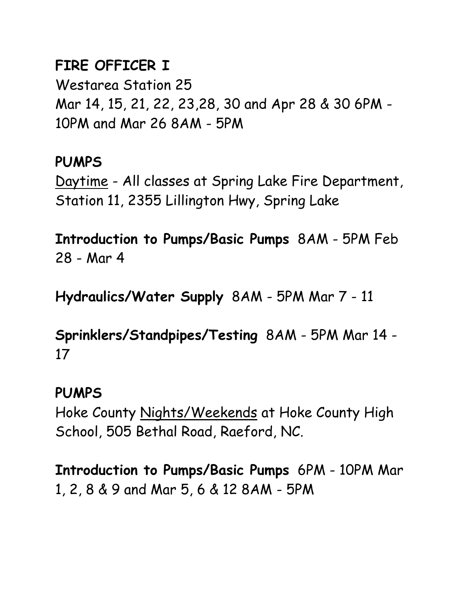## **FIRE OFFICER I**

Westarea Station 25 Mar 14, 15, 21, 22, 23,28, 30 and Apr 28 & 30 6PM - 10PM and Mar 26 8AM - 5PM

## **PUMPS**

Daytime - All classes at Spring Lake Fire Department, Station 11, 2355 Lillington Hwy, Spring Lake

**Introduction to Pumps/Basic Pumps** 8AM - 5PM Feb 28 - Mar 4

**Hydraulics/Water Supply** 8AM - 5PM Mar 7 - 11

**Sprinklers/Standpipes/Testing** 8AM - 5PM Mar 14 - 17

## **PUMPS**

Hoke County Nights/Weekends at Hoke County High School, 505 Bethal Road, Raeford, NC.

**Introduction to Pumps/Basic Pumps** 6PM - 10PM Mar 1, 2, 8 & 9 and Mar 5, 6 & 12 8AM - 5PM